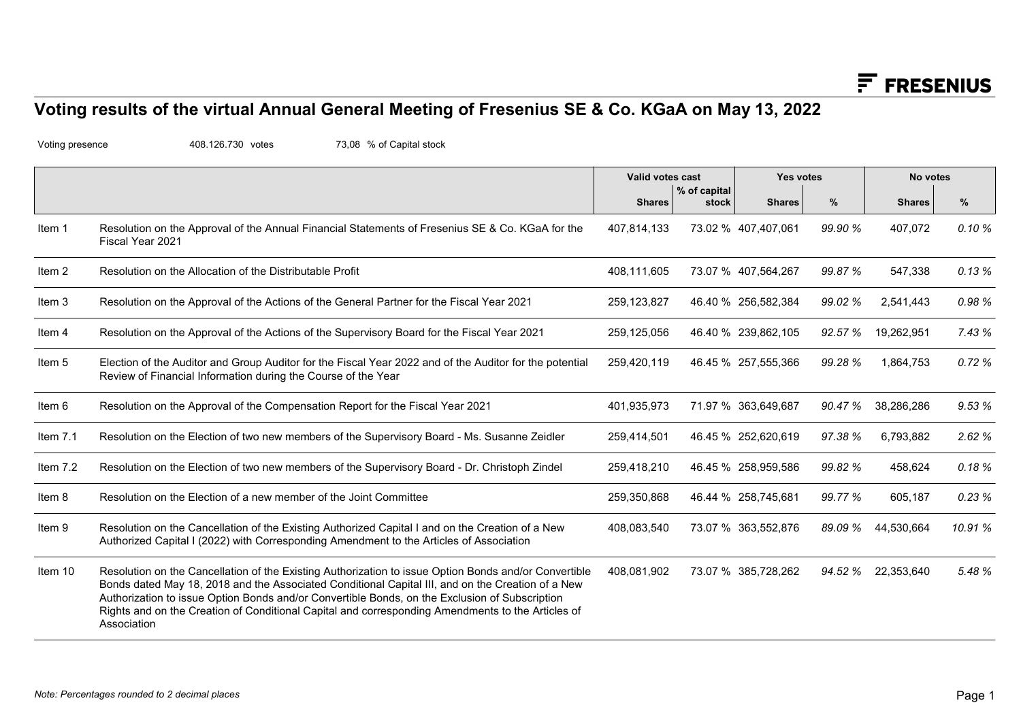## Voting results of the virtual Annual General Meeting of Fresenius SE & Co. KGaA on May 13, 2022

|                 | Voting results of the virtual Annual General Meeting of Fresenius SE & Co. KGaA on May 13, 2022                                                                                                                                                                                                                                                                                                                                  |                  |                       |                     |         | $F$ FRESENIUS      |         |
|-----------------|----------------------------------------------------------------------------------------------------------------------------------------------------------------------------------------------------------------------------------------------------------------------------------------------------------------------------------------------------------------------------------------------------------------------------------|------------------|-----------------------|---------------------|---------|--------------------|---------|
| Voting presence | 408.126.730 votes<br>73,08 % of Capital stock                                                                                                                                                                                                                                                                                                                                                                                    |                  |                       |                     |         |                    |         |
|                 |                                                                                                                                                                                                                                                                                                                                                                                                                                  | Valid votes cast |                       | <b>Yes votes</b>    |         | No votes           |         |
|                 |                                                                                                                                                                                                                                                                                                                                                                                                                                  | <b>Shares</b>    | % of capital<br>stock | <b>Shares</b>       | %       | <b>Shares</b>      | %       |
| Item 1          | Resolution on the Approval of the Annual Financial Statements of Fresenius SE & Co. KGaA for the<br>Fiscal Year 2021                                                                                                                                                                                                                                                                                                             | 407,814,133      |                       | 73.02 % 407,407,061 | 99.90 % | 407,072            | 0.10%   |
| Item 2          | Resolution on the Allocation of the Distributable Profit                                                                                                                                                                                                                                                                                                                                                                         | 408,111,605      |                       | 73.07 % 407,564,267 | 99.87%  | 547,338            | 0.13%   |
| Item 3          | Resolution on the Approval of the Actions of the General Partner for the Fiscal Year 2021                                                                                                                                                                                                                                                                                                                                        | 259,123,827      |                       | 46.40 % 256,582,384 | 99.02 % | 2,541,443          | 0.98%   |
| Item 4          | Resolution on the Approval of the Actions of the Supervisory Board for the Fiscal Year 2021                                                                                                                                                                                                                                                                                                                                      | 259,125,056      |                       | 46.40 % 239,862,105 | 92.57 % | 19,262,951         | 7.43%   |
| Item 5          | Election of the Auditor and Group Auditor for the Fiscal Year 2022 and of the Auditor for the potential<br>Review of Financial Information during the Course of the Year                                                                                                                                                                                                                                                         | 259,420,119      |                       | 46.45 % 257,555,366 | 99.28 % | 1,864,753          | 0.72%   |
| Item 6          | Resolution on the Approval of the Compensation Report for the Fiscal Year 2021                                                                                                                                                                                                                                                                                                                                                   | 401,935,973      |                       | 71.97 % 363,649,687 | 90.47 % | 38,286,286         | 9.53 %  |
| Item 7.1        | Resolution on the Election of two new members of the Supervisory Board - Ms. Susanne Zeidler                                                                                                                                                                                                                                                                                                                                     | 259,414,501      |                       | 46.45 % 252,620,619 | 97.38%  | 6,793,882          | 2.62%   |
| Item 7.2        | Resolution on the Election of two new members of the Supervisory Board - Dr. Christoph Zindel                                                                                                                                                                                                                                                                                                                                    | 259,418,210      |                       | 46.45 % 258,959,586 | 99.82 % | 458,624            | 0.18%   |
| Item 8          | Resolution on the Election of a new member of the Joint Committee                                                                                                                                                                                                                                                                                                                                                                | 259,350,868      |                       | 46.44 % 258,745,681 | 99.77 % | 605,187            | 0.23%   |
| Item 9          | Resolution on the Cancellation of the Existing Authorized Capital I and on the Creation of a New<br>Authorized Capital I (2022) with Corresponding Amendment to the Articles of Association                                                                                                                                                                                                                                      | 408,083,540      |                       | 73.07 % 363,552,876 | 89.09 % | 44,530,664         | 10.91 % |
| Item 10         | Resolution on the Cancellation of the Existing Authorization to issue Option Bonds and/or Convertible<br>Bonds dated May 18, 2018 and the Associated Conditional Capital III, and on the Creation of a New<br>Authorization to issue Option Bonds and/or Convertible Bonds, on the Exclusion of Subscription<br>Rights and on the Creation of Conditional Capital and corresponding Amendments to the Articles of<br>Association | 408,081,902      |                       | 73.07 % 385,728,262 |         | 94.52 % 22,353,640 | 5.48%   |